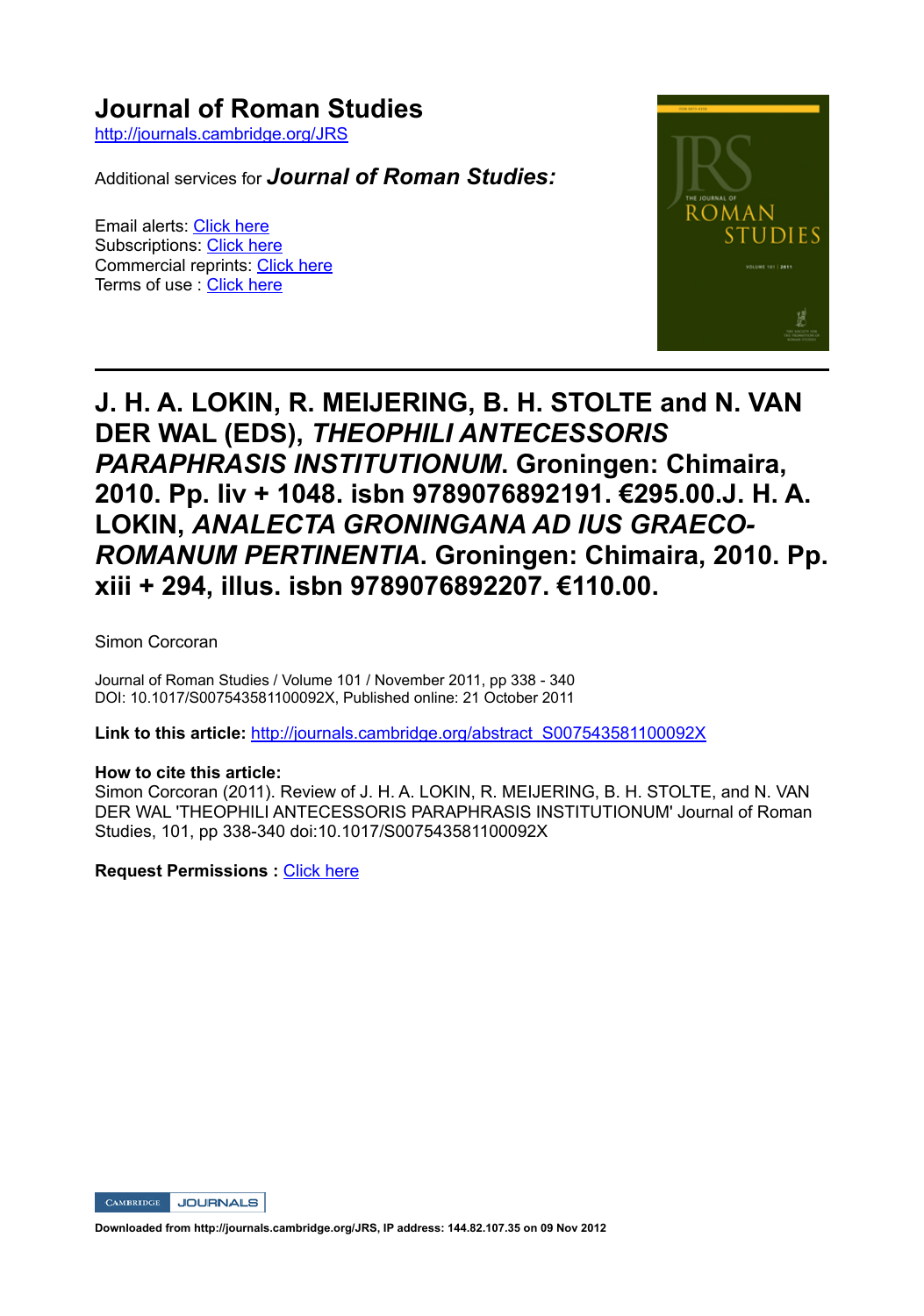## **Journal of Roman Studies**

http://journals.cambridge.org/JRS

Additional services for *Journal of Roman Studies:*

Email alerts: Click here Subscriptions: Click here Commercial reprints: Click here Terms of use : Click here



## **J. H. A. LOKIN, R. MEIJERING, B. H. STOLTE and N. VAN DER WAL (EDS),** *THEOPHILI ANTECESSORIS PARAPHRASIS INSTITUTIONUM***. Groningen: Chimaira, 2010. Pp. liv + 1048. isbn 9789076892191. €295.00.J. H. A. LOKIN,** *ANALECTA GRONINGANA AD IUS GRAECO-ROMANUM PERTINENTIA***. Groningen: Chimaira, 2010. Pp. xiii + 294, illus. isbn 9789076892207. €110.00.**

Simon Corcoran

Journal of Roman Studies / Volume 101 / November 2011, pp 338 - 340 DOI: 10.1017/S007543581100092X, Published online: 21 October 2011

**Link to this article:** http://journals.cambridge.org/abstract\_S007543581100092X

## **How to cite this article:**

Simon Corcoran (2011). Review of J. H. A. LOKIN, R. MEIJERING, B. H. STOLTE, and N. VAN DER WAL 'THEOPHILI ANTECESSORIS PARAPHRASIS INSTITUTIONUM' Journal of Roman Studies, 101, pp 338-340 doi:10.1017/S007543581100092X

**Request Permissions :** Click here

CAMBRIDGE JOURNALS

**Downloaded from http://journals.cambridge.org/JRS, IP address: 144.82.107.35 on 09 Nov 2012**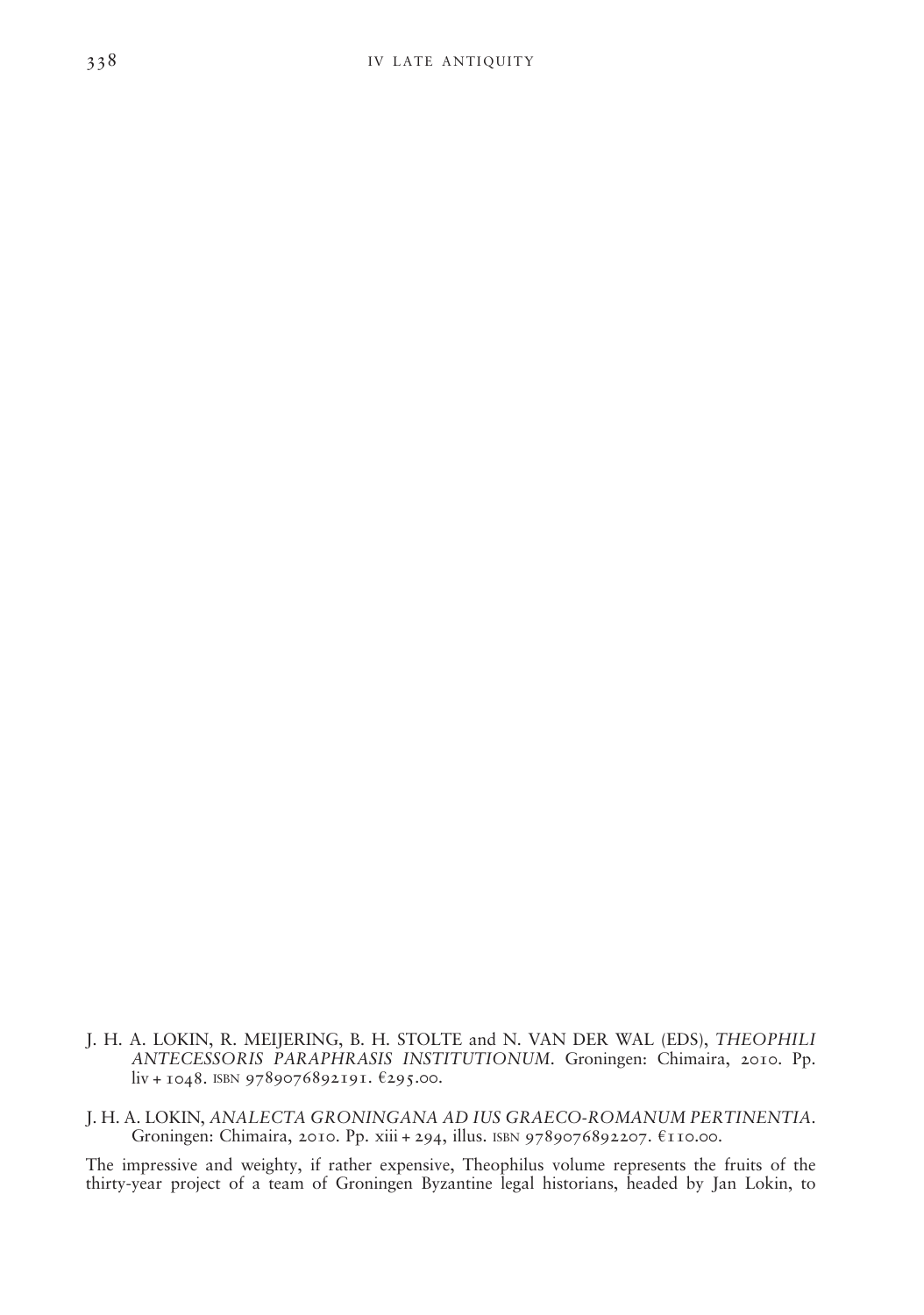- J. H. A. LOKIN, R. MEIJERING, B. H. STOLTE and N. VAN DER WAL (EDS), THEOPHILI ANTECESSORIS PARAPHRASIS INSTITUTIONUM. Groningen: Chimaira, 2010. Pp. liv + 1048. ISBN 9789076892191. €295.00.
- J. H. A. LOKIN, ANALECTA GRONINGANA AD IUS GRAECO-ROMANUM PERTINENTIA. Groningen: Chimaira, 2010. Pp. xiii + 294, illus. ISBN 9789076892207. €110.00.

The impressive and weighty, if rather expensive, Theophilus volume represents the fruits of the thirty-year project of a team of Groningen Byzantine legal historians, headed by Jan Lokin, to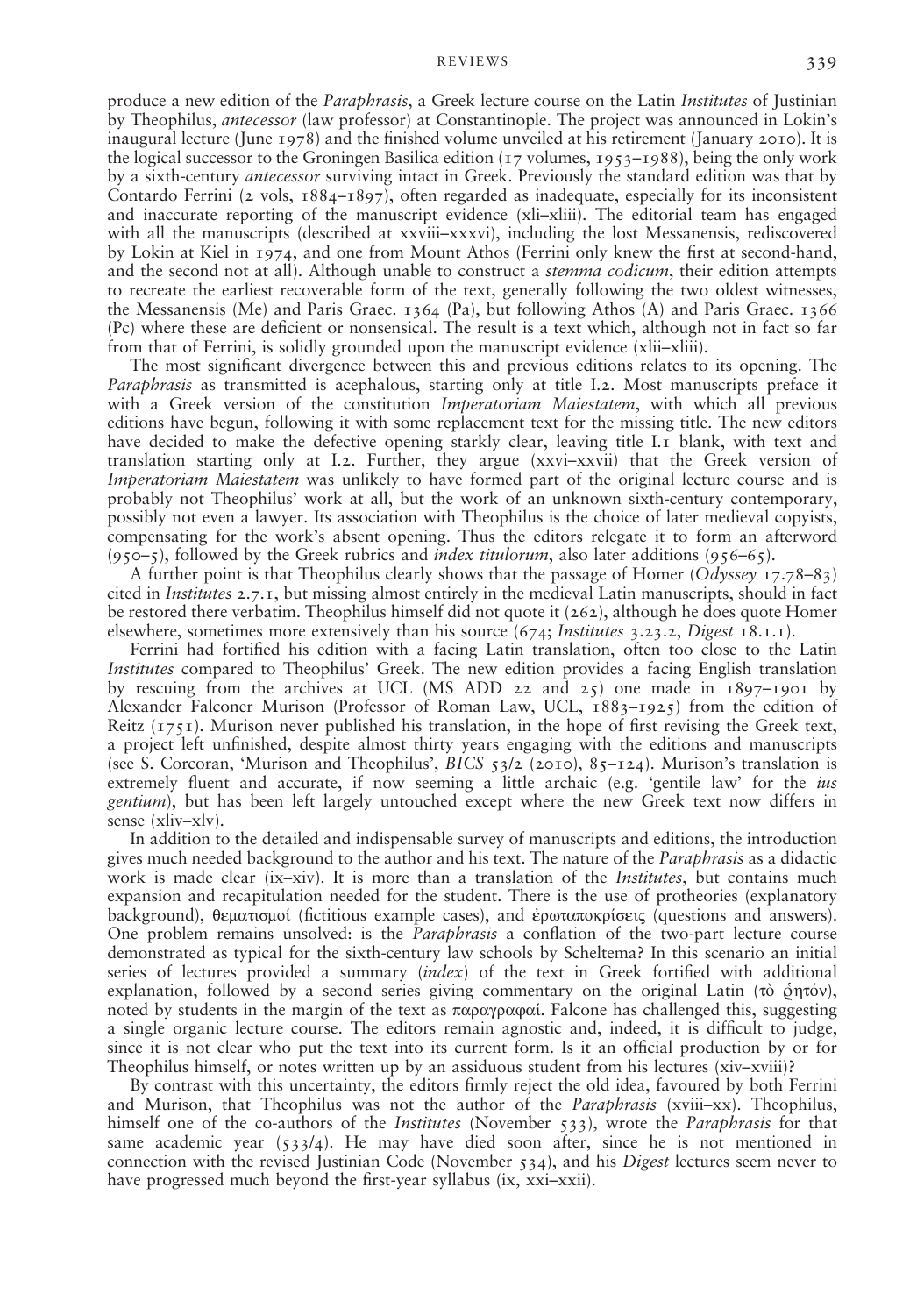produce a new edition of the *Paraphrasis*, a Greek lecture course on the Latin *Institutes* of Justinian by Theophilus, antecessor (law professor) at Constantinople. The project was announced in Lokin's inaugural lecture (June 1978) and the finished volume unveiled at his retirement (January 2010). It is the logical successor to the Groningen Basilica edition ( $17$  volumes,  $1953-1988$ ), being the only work by a sixth-century *antecessor* surviving intact in Greek. Previously the standard edition was that by Contardo Ferrini (2 vols,  $1884-1897$ ), often regarded as inadequate, especially for its inconsistent and inaccurate reporting of the manuscript evidence (xli–xliii). The editorial team has engaged with all the manuscripts (described at xxviii–xxxvi), including the lost Messanensis, rediscovered by Lokin at Kiel in 1974, and one from Mount Athos (Ferrini only knew the first at second-hand, and the second not at all). Although unable to construct a *stemma codicum*, their edition attempts to recreate the earliest recoverable form of the text, generally following the two oldest witnesses, the Messanensis (Me) and Paris Graec. 1364 (Pa), but following Athos (A) and Paris Graec. 1366 (Pc) where these are decient or nonsensical. The result is a text which, although not in fact so far from that of Ferrini, is solidly grounded upon the manuscript evidence (xlii–xliii).

The most signicant divergence between this and previous editions relates to its opening. The Paraphrasis as transmitted is acephalous, starting only at title I.2. Most manuscripts preface it with a Greek version of the constitution Imperatoriam Maiestatem, with which all previous editions have begun, following it with some replacement text for the missing title. The new editors have decided to make the defective opening starkly clear, leaving title I.1 blank, with text and translation starting only at I.2. Further, they argue (xxvi–xxvii) that the Greek version of Imperatoriam Maiestatem was unlikely to have formed part of the original lecture course and is probably not Theophilus' work at all, but the work of an unknown sixth-century contemporary, possibly not even a lawyer. Its association with Theophilus is the choice of later medieval copyists, compensating for the work's absent opening. Thus the editors relegate it to form an afterword  $(950-5)$ , followed by the Greek rubrics and *index titulorum*, also later additions  $(956-65)$ .

A further point is that Theophilus clearly shows that the passage of Homer (Odyssey 17.78–83) cited in Institutes 2.7.1, but missing almost entirely in the medieval Latin manuscripts, should in fact be restored there verbatim. Theophilus himself did not quote it (262), although he does quote Homer elsewhere, sometimes more extensively than his source  $(674; \textit{Institutes } 3.23.2, \textit{Digest } 18.1.1)$ .

Ferrini had fortified his edition with a facing Latin translation, often too close to the Latin Institutes compared to Theophilus' Greek. The new edition provides a facing English translation by rescuing from the archives at UCL (MS ADD 22 and 25) one made in  $1897$ –1901 by Alexander Falconer Murison (Professor of Roman Law, UCL, 1883–1925) from the edition of Reitz  $(1751)$ . Murison never published his translation, in the hope of first revising the Greek text, a project left unfinished, despite almost thirty years engaging with the editions and manuscripts (see S. Corcoran, 'Murison and Theophilus', BICS  $53/2$  (2010),  $85-124$ ). Murison's translation is extremely fluent and accurate, if now seeming a little archaic (e.g. 'gentile law' for the *ius* gentium), but has been left largely untouched except where the new Greek text now differs in sense (xliv–xlv).

In addition to the detailed and indispensable survey of manuscripts and editions, the introduction gives much needed background to the author and his text. The nature of the *Paraphrasis* as a didactic work is made clear (ix–xiv). It is more than a translation of the *Institutes*, but contains much expansion and recapitulation needed for the student. There is the use of protheories (explanatory background), θεματισμοί (fictitious example cases), and έρωταποκρίσεις (questions and answers). One problem remains unsolved: is the *Paraphrasis* a conflation of the two-part lecture course demonstrated as typical for the sixth-century law schools by Scheltema? In this scenario an initial series of lectures provided a summary  $(index)$  of the text in Greek fortified with additional explanation, followed by a second series giving commentary on the original Latin (τὸ ῥητόν), noted by students in the margin of the text as παραγραφαί. Falcone has challenged this, suggesting a single organic lecture course. The editors remain agnostic and, indeed, it is difcult to judge, since it is not clear who put the text into its current form. Is it an official production by or for Theophilus himself, or notes written up by an assiduous student from his lectures (xiv–xviii)?

By contrast with this uncertainty, the editors firmly reject the old idea, favoured by both Ferrini and Murison, that Theophilus was not the author of the *Paraphrasis* (xviii–xx). Theophilus, himself one of the co-authors of the *Institutes* (November 533), wrote the *Paraphrasis* for that same academic year  $(533/4)$ . He may have died soon after, since he is not mentioned in connection with the revised Justinian Code (November 534), and his Digest lectures seem never to have progressed much beyond the first-year syllabus (ix, xxi–xxii).